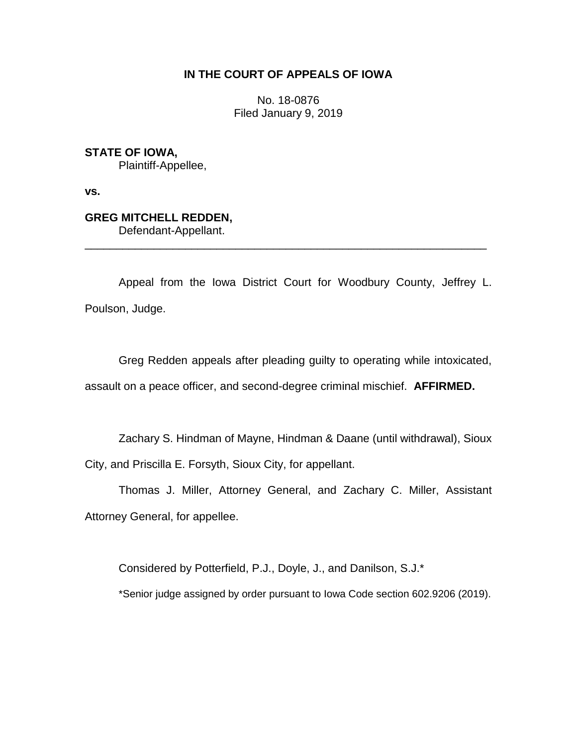## **IN THE COURT OF APPEALS OF IOWA**

No. 18-0876 Filed January 9, 2019

## **STATE OF IOWA,**

Plaintiff-Appellee,

**vs.**

# **GREG MITCHELL REDDEN,**

Defendant-Appellant.

Appeal from the Iowa District Court for Woodbury County, Jeffrey L. Poulson, Judge.

\_\_\_\_\_\_\_\_\_\_\_\_\_\_\_\_\_\_\_\_\_\_\_\_\_\_\_\_\_\_\_\_\_\_\_\_\_\_\_\_\_\_\_\_\_\_\_\_\_\_\_\_\_\_\_\_\_\_\_\_\_\_\_\_

Greg Redden appeals after pleading guilty to operating while intoxicated, assault on a peace officer, and second-degree criminal mischief. **AFFIRMED.**

Zachary S. Hindman of Mayne, Hindman & Daane (until withdrawal), Sioux City, and Priscilla E. Forsyth, Sioux City, for appellant.

Thomas J. Miller, Attorney General, and Zachary C. Miller, Assistant Attorney General, for appellee.

Considered by Potterfield, P.J., Doyle, J., and Danilson, S.J.\*

\*Senior judge assigned by order pursuant to Iowa Code section 602.9206 (2019).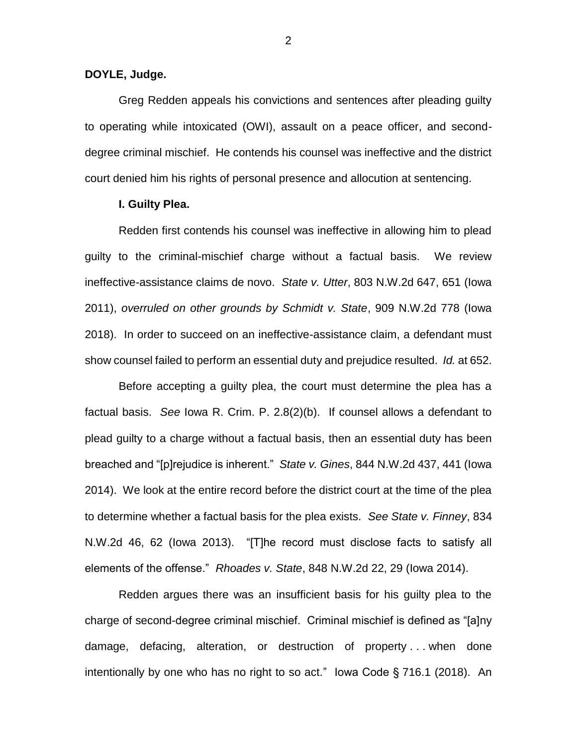#### **DOYLE, Judge.**

Greg Redden appeals his convictions and sentences after pleading guilty to operating while intoxicated (OWI), assault on a peace officer, and seconddegree criminal mischief. He contends his counsel was ineffective and the district court denied him his rights of personal presence and allocution at sentencing.

#### **I. Guilty Plea.**

Redden first contends his counsel was ineffective in allowing him to plead guilty to the criminal-mischief charge without a factual basis. We review ineffective-assistance claims de novo. *State v. Utter*, 803 N.W.2d 647, 651 (Iowa 2011), *overruled on other grounds by Schmidt v. State*, 909 N.W.2d 778 (Iowa 2018). In order to succeed on an ineffective-assistance claim, a defendant must show counsel failed to perform an essential duty and prejudice resulted. *Id.* at 652.

Before accepting a guilty plea, the court must determine the plea has a factual basis. *See* Iowa R. Crim. P. 2.8(2)(b). If counsel allows a defendant to plead guilty to a charge without a factual basis, then an essential duty has been breached and "[p]rejudice is inherent." *State v. Gines*, 844 N.W.2d 437, 441 (Iowa 2014). We look at the entire record before the district court at the time of the plea to determine whether a factual basis for the plea exists. *See State v. Finney*, 834 N.W.2d 46, 62 (Iowa 2013). "[T]he record must disclose facts to satisfy all elements of the offense." *Rhoades v. State*, 848 N.W.2d 22, 29 (Iowa 2014).

Redden argues there was an insufficient basis for his guilty plea to the charge of second-degree criminal mischief. Criminal mischief is defined as "[a]ny damage, defacing, alteration, or destruction of property . . . when done intentionally by one who has no right to so act." Iowa Code § 716.1 (2018). An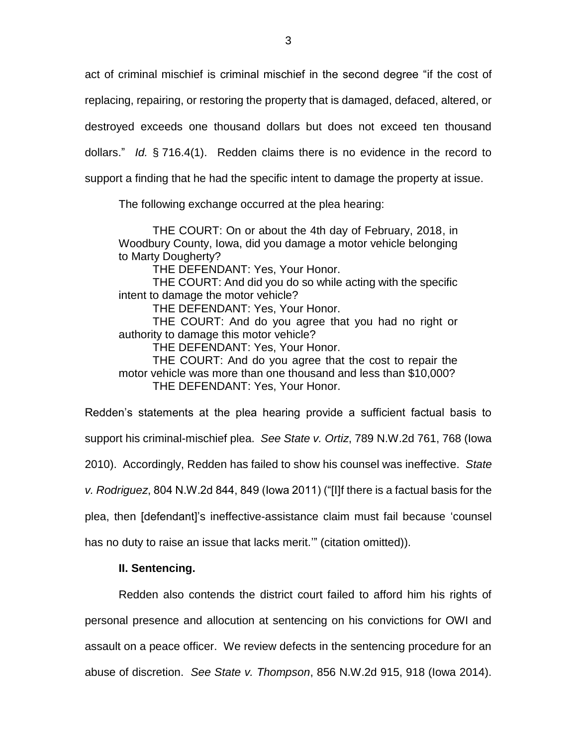act of criminal mischief is criminal mischief in the second degree "if the cost of replacing, repairing, or restoring the property that is damaged, defaced, altered, or destroyed exceeds one thousand dollars but does not exceed ten thousand dollars." *Id.* § 716.4(1). Redden claims there is no evidence in the record to support a finding that he had the specific intent to damage the property at issue.

The following exchange occurred at the plea hearing:

THE COURT: On or about the 4th day of February, 2018, in Woodbury County, Iowa, did you damage a motor vehicle belonging to Marty Dougherty?

THE DEFENDANT: Yes, Your Honor.

THE COURT: And did you do so while acting with the specific intent to damage the motor vehicle?

THE DEFENDANT: Yes, Your Honor.

THE COURT: And do you agree that you had no right or authority to damage this motor vehicle?

THE DEFENDANT: Yes, Your Honor.

THE COURT: And do you agree that the cost to repair the motor vehicle was more than one thousand and less than \$10,000? THE DEFENDANT: Yes, Your Honor.

Redden's statements at the plea hearing provide a sufficient factual basis to support his criminal-mischief plea. *See State v. Ortiz*, 789 N.W.2d 761, 768 (Iowa 2010). Accordingly, Redden has failed to show his counsel was ineffective. *State v. Rodriguez*, 804 N.W.2d 844, 849 (Iowa 2011) ("[I]f there is a factual basis for the plea, then [defendant]'s ineffective-assistance claim must fail because 'counsel

has no duty to raise an issue that lacks merit.'" (citation omitted)).

### **II. Sentencing.**

Redden also contends the district court failed to afford him his rights of personal presence and allocution at sentencing on his convictions for OWI and assault on a peace officer. We review defects in the sentencing procedure for an abuse of discretion. *See State v. Thompson*, 856 N.W.2d 915, 918 (Iowa 2014).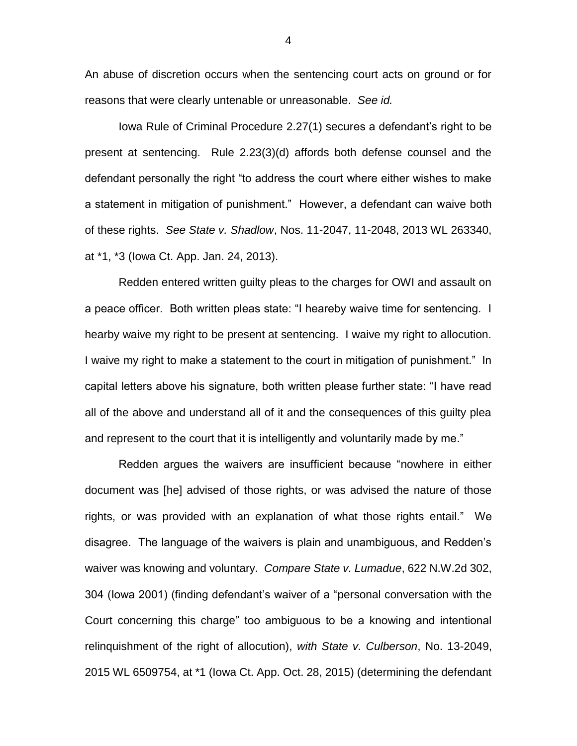An abuse of discretion occurs when the sentencing court acts on ground or for reasons that were clearly untenable or unreasonable. *See id.*

Iowa Rule of Criminal Procedure 2.27(1) secures a defendant's right to be present at sentencing. Rule 2.23(3)(d) affords both defense counsel and the defendant personally the right "to address the court where either wishes to make a statement in mitigation of punishment." However, a defendant can waive both of these rights. *See State v. Shadlow*, Nos. 11-2047, 11-2048, 2013 WL 263340, at \*1, \*3 (Iowa Ct. App. Jan. 24, 2013).

Redden entered written guilty pleas to the charges for OWI and assault on a peace officer. Both written pleas state: "I heareby waive time for sentencing. I hearby waive my right to be present at sentencing. I waive my right to allocution. I waive my right to make a statement to the court in mitigation of punishment." In capital letters above his signature, both written please further state: "I have read all of the above and understand all of it and the consequences of this guilty plea and represent to the court that it is intelligently and voluntarily made by me."

Redden argues the waivers are insufficient because "nowhere in either document was [he] advised of those rights, or was advised the nature of those rights, or was provided with an explanation of what those rights entail." We disagree. The language of the waivers is plain and unambiguous, and Redden's waiver was knowing and voluntary. *Compare State v. Lumadue*, 622 N.W.2d 302, 304 (Iowa 2001) (finding defendant's waiver of a "personal conversation with the Court concerning this charge" too ambiguous to be a knowing and intentional relinquishment of the right of allocution), *with State v. Culberson*, No. 13-2049, 2015 WL 6509754, at \*1 (Iowa Ct. App. Oct. 28, 2015) (determining the defendant